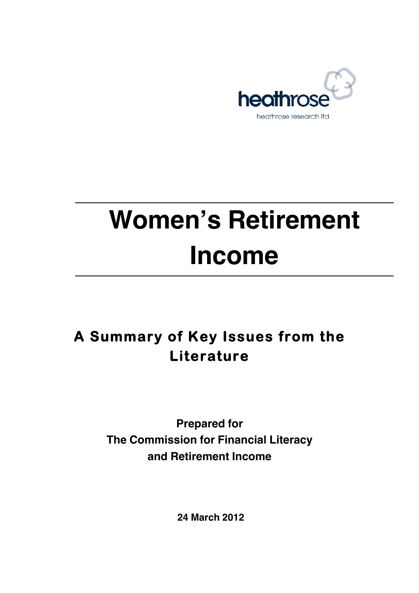

# **Women's Retirement Income**

# **A Summary of Key Issues from the Literature**

**Prepared for The Commission for Financial Literacy and Retirement Income**

 **24 March 2012**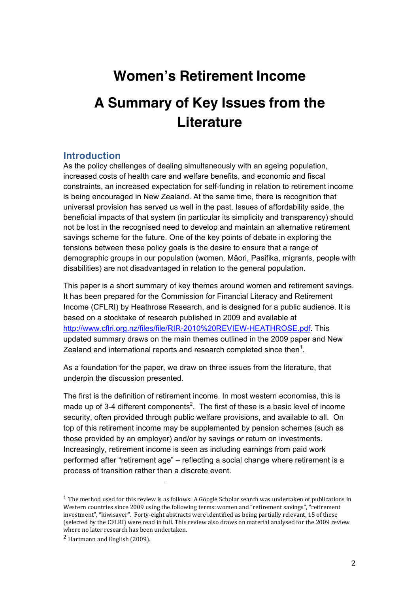# **Women's Retirement Income**

# **A Summary of Key Issues from the Literature**

#### **Introduction**

As the policy challenges of dealing simultaneously with an ageing population, increased costs of health care and welfare benefits, and economic and fiscal constraints, an increased expectation for self-funding in relation to retirement income is being encouraged in New Zealand. At the same time, there is recognition that universal provision has served us well in the past. Issues of affordability aside, the beneficial impacts of that system (in particular its simplicity and transparency) should not be lost in the recognised need to develop and maintain an alternative retirement savings scheme for the future. One of the key points of debate in exploring the tensions between these policy goals is the desire to ensure that a range of demographic groups in our population (women, Mäori, Pasifika, migrants, people with disabilities) are not disadvantaged in relation to the general population.

This paper is a short summary of key themes around women and retirement savings. It has been prepared for the Commission for Financial Literacy and Retirement Income (CFLRI) by Heathrose Research, and is designed for a public audience. It is based on a stocktake of research published in 2009 and available at http://www.cflri.org.nz/files/file/RIR-2010%20REVIEW-HEATHROSE.pdf. This updated summary draws on the main themes outlined in the 2009 paper and New Zealand and international reports and research completed since then<sup>1</sup>.

As a foundation for the paper, we draw on three issues from the literature, that underpin the discussion presented.

The first is the definition of retirement income. In most western economies, this is made up of 3-4 different components<sup>2</sup>. The first of these is a basic level of income security, often provided through public welfare provisions, and available to all. On top of this retirement income may be supplemented by pension schemes (such as those provided by an employer) and/or by savings or return on investments. Increasingly, retirement income is seen as including earnings from paid work performed after "retirement age" – reflecting a social change where retirement is a process of transition rather than a discrete event.

 $1$  The method used for this review is as follows: A Google Scholar search was undertaken of publications in Western countries since 2009 using the following terms: women and "retirement savings", "retirement investment", "kiwisaver". Forty-eight abstracts were identified as being partially relevant, 15 of these (selected by the CFLRI) were read in full. This review also draws on material analysed for the 2009 review where no later research has been undertaken.

 $2$  Hartmann and English (2009).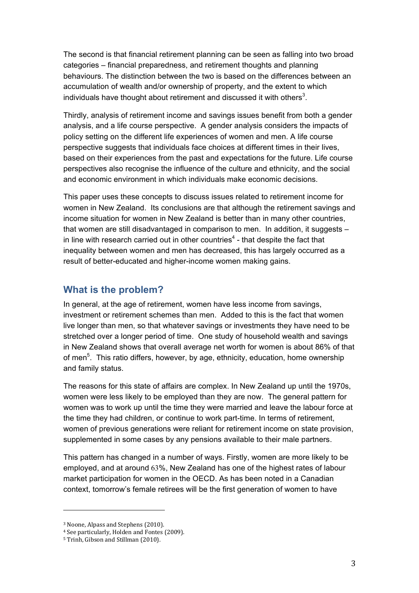The second is that financial retirement planning can be seen as falling into two broad categories – financial preparedness, and retirement thoughts and planning behaviours. The distinction between the two is based on the differences between an accumulation of wealth and/or ownership of property, and the extent to which individuals have thought about retirement and discussed it with others<sup>3</sup>.

Thirdly, analysis of retirement income and savings issues benefit from both a gender analysis, and a life course perspective. A gender analysis considers the impacts of policy setting on the different life experiences of women and men. A life course perspective suggests that individuals face choices at different times in their lives, based on their experiences from the past and expectations for the future. Life course perspectives also recognise the influence of the culture and ethnicity, and the social and economic environment in which individuals make economic decisions.

This paper uses these concepts to discuss issues related to retirement income for women in New Zealand. Its conclusions are that although the retirement savings and income situation for women in New Zealand is better than in many other countries, that women are still disadvantaged in comparison to men. In addition, it suggests – in line with research carried out in other countries<sup>4</sup> - that despite the fact that inequality between women and men has decreased, this has largely occurred as a result of better-educated and higher-income women making gains.

### **What is the problem?**

In general, at the age of retirement, women have less income from savings, investment or retirement schemes than men. Added to this is the fact that women live longer than men, so that whatever savings or investments they have need to be stretched over a longer period of time. One study of household wealth and savings in New Zealand shows that overall average net worth for women is about 86% of that of men<sup>5</sup>. This ratio differs, however, by age, ethnicity, education, home ownership and family status.

The reasons for this state of affairs are complex. In New Zealand up until the 1970s, women were less likely to be employed than they are now. The general pattern for women was to work up until the time they were married and leave the labour force at the time they had children, or continue to work part-time. In terms of retirement, women of previous generations were reliant for retirement income on state provision, supplemented in some cases by any pensions available to their male partners.

This pattern has changed in a number of ways. Firstly, women are more likely to be employed, and at around 63%, New Zealand has one of the highest rates of labour market participation for women in the OECD. As has been noted in a Canadian context, tomorrow's female retirees will be the first generation of women to have

<sup>&</sup>lt;sup>3</sup> Noone, Alpass and Stephens (2010).

<sup>&</sup>lt;sup>4</sup> See particularly, Holden and Fontes (2009).

<sup>&</sup>lt;sup>5</sup> Trinh, Gibson and Stillman (2010).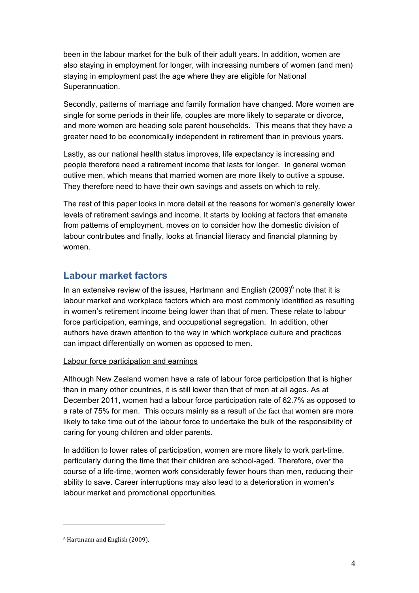been in the labour market for the bulk of their adult years. In addition, women are also staying in employment for longer, with increasing numbers of women (and men) staying in employment past the age where they are eligible for National Superannuation.

Secondly, patterns of marriage and family formation have changed. More women are single for some periods in their life, couples are more likely to separate or divorce, and more women are heading sole parent households. This means that they have a greater need to be economically independent in retirement than in previous years.

Lastly, as our national health status improves, life expectancy is increasing and people therefore need a retirement income that lasts for longer. In general women outlive men, which means that married women are more likely to outlive a spouse. They therefore need to have their own savings and assets on which to rely.

The rest of this paper looks in more detail at the reasons for women's generally lower levels of retirement savings and income. It starts by looking at factors that emanate from patterns of employment, moves on to consider how the domestic division of labour contributes and finally, looks at financial literacy and financial planning by women.

## **Labour market factors**

In an extensive review of the issues, Hartmann and English (2009) $^6$  note that it is labour market and workplace factors which are most commonly identified as resulting in women's retirement income being lower than that of men. These relate to labour force participation, earnings, and occupational segregation. In addition, other authors have drawn attention to the way in which workplace culture and practices can impact differentially on women as opposed to men.

#### Labour force participation and earnings

Although New Zealand women have a rate of labour force participation that is higher than in many other countries, it is still lower than that of men at all ages. As at December 2011, women had a labour force participation rate of 62.7% as opposed to a rate of 75% for men. This occurs mainly as a result of the fact that women are more likely to take time out of the labour force to undertake the bulk of the responsibility of caring for young children and older parents.

In addition to lower rates of participation, women are more likely to work part-time, particularly during the time that their children are school-aged. Therefore, over the course of a life-time, women work considerably fewer hours than men, reducing their ability to save. Career interruptions may also lead to a deterioration in women's labour market and promotional opportunities.

<sup>&</sup>lt;sup>6</sup> Hartmann and English (2009).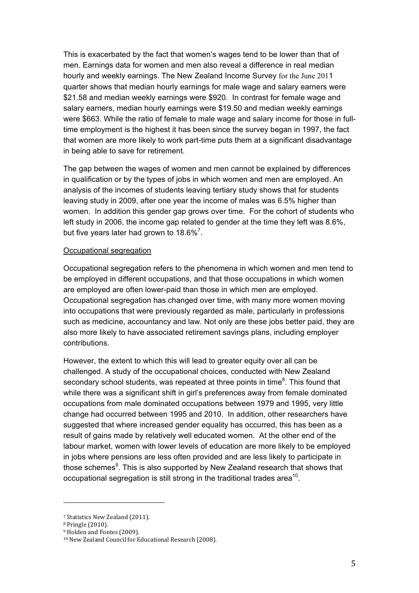This is exacerbated by the fact that women's wages tend to be lower than that of men. Earnings data for women and men also reveal a difference in real median hourly and weekly earnings. The New Zealand Income Survey for the June 2011 quarter shows that median hourly earnings for male wage and salary earners were \$21.58 and median weekly earnings were \$920. In contrast for female wage and salary earners, median hourly earnings were \$19.50 and median weekly earnings were \$663. While the ratio of female to male wage and salary income for those in fulltime employment is the highest it has been since the survey began in 1997, the fact that women are more likely to work part-time puts them at a significant disadvantage in being able to save for retirement.

The gap between the wages of women and men cannot be explained by differences in qualification or by the types of jobs in which women and men are employed. An analysis of the incomes of students leaving tertiary study shows that for students leaving study in 2009, after one year the income of males was 6.5% higher than women. In addition this gender gap grows over time. For the cohort of students who left study in 2006, the income gap related to gender at the time they left was 8.6%, but five years later had grown to 18.6%<sup>7</sup>.

#### Occupational segregation

Occupational segregation refers to the phenomena in which women and men tend to be employed in different occupations, and that those occupations in which women are employed are often lower-paid than those in which men are employed. Occupational segregation has changed over time, with many more women moving into occupations that were previously regarded as male, particularly in professions such as medicine, accountancy and law. Not only are these jobs better paid, they are also more likely to have associated retirement savings plans, including employer contributions.

However, the extent to which this will lead to greater equity over all can be challenged. A study of the occupational choices, conducted with New Zealand secondary school students, was repeated at three points in time ${}^{8}$ . This found that while there was a significant shift in girl's preferences away from female dominated occupations from male dominated occupations between 1979 and 1995, very little change had occurred between 1995 and 2010. In addition, other researchers have suggested that where increased gender equality has occurred, this has been as a result of gains made by relatively well educated women. At the other end of the labour market, women with lower levels of education are more likely to be employed in jobs where pensions are less often provided and are less likely to participate in those schemes $9$ . This is also supported by New Zealand research that shows that occupational segregation is still strong in the traditional trades area<sup>10</sup>.

<sup>&</sup>lt;sup>7</sup> Statistics New Zealand (2011).

<sup>&</sup>lt;sup>8</sup> Pringle (2010).

<sup>&</sup>lt;sup>9</sup> Holden and Fontes (2009).

<sup>&</sup>lt;sup>10</sup> New Zealand Council for Educational Research (2008).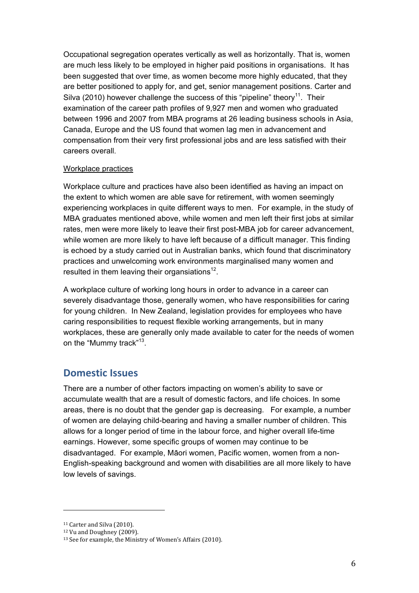Occupational segregation operates vertically as well as horizontally. That is, women are much less likely to be employed in higher paid positions in organisations. It has been suggested that over time, as women become more highly educated, that they are better positioned to apply for, and get, senior management positions. Carter and Silva (2010) however challenge the success of this "pipeline" theory<sup>11</sup>. Their examination of the career path profiles of 9,927 men and women who graduated between 1996 and 2007 from MBA programs at 26 leading business schools in Asia, Canada, Europe and the US found that women lag men in advancement and compensation from their very first professional jobs and are less satisfied with their careers overall.

#### Workplace practices

Workplace culture and practices have also been identified as having an impact on the extent to which women are able save for retirement, with women seemingly experiencing workplaces in quite different ways to men. For example, in the study of MBA graduates mentioned above, while women and men left their first jobs at similar rates, men were more likely to leave their first post-MBA job for career advancement, while women are more likely to have left because of a difficult manager. This finding is echoed by a study carried out in Australian banks, which found that discriminatory practices and unwelcoming work environments marginalised many women and resulted in them leaving their organsiations $12$ .

A workplace culture of working long hours in order to advance in a career can severely disadvantage those, generally women, who have responsibilities for caring for young children. In New Zealand, legislation provides for employees who have caring responsibilities to request flexible working arrangements, but in many workplaces, these are generally only made available to cater for the needs of women on the "Mummy track"<sup>13</sup>.

#### **Domestic Issues**

There are a number of other factors impacting on women's ability to save or accumulate wealth that are a result of domestic factors, and life choices. In some areas, there is no doubt that the gender gap is decreasing. For example, a number of women are delaying child-bearing and having a smaller number of children. This allows for a longer period of time in the labour force, and higher overall life-time earnings. However, some specific groups of women may continue to be disadvantaged. For example, Mäori women, Pacific women, women from a non-English-speaking background and women with disabilities are all more likely to have low levels of savings.

<sup>&</sup>lt;sup>11</sup> Carter and Silva (2010).

<sup>&</sup>lt;sup>12</sup> Vu and Doughney (2009).

<sup>&</sup>lt;sup>13</sup> See for example, the Ministry of Women's Affairs (2010).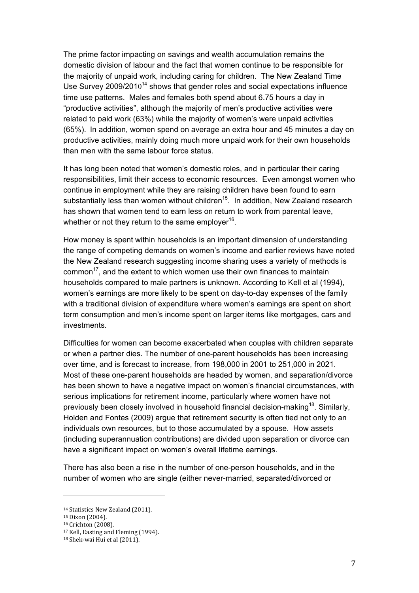The prime factor impacting on savings and wealth accumulation remains the domestic division of labour and the fact that women continue to be responsible for the majority of unpaid work, including caring for children. The New Zealand Time Use Survey  $2009/2010^{14}$  shows that gender roles and social expectations influence time use patterns. Males and females both spend about 6.75 hours a day in "productive activities", although the majority of men's productive activities were related to paid work (63%) while the majority of women's were unpaid activities (65%). In addition, women spend on average an extra hour and 45 minutes a day on productive activities, mainly doing much more unpaid work for their own households than men with the same labour force status.

It has long been noted that women's domestic roles, and in particular their caring responsibilities, limit their access to economic resources. Even amongst women who continue in employment while they are raising children have been found to earn substantially less than women without children<sup>15</sup>. In addition, New Zealand research has shown that women tend to earn less on return to work from parental leave, whether or not they return to the same employer $^{16}$ .

How money is spent within households is an important dimension of understanding the range of competing demands on women's income and earlier reviews have noted the New Zealand research suggesting income sharing uses a variety of methods is common<sup>17</sup>, and the extent to which women use their own finances to maintain households compared to male partners is unknown. According to Kell et al (1994), women's earnings are more likely to be spent on day-to-day expenses of the family with a traditional division of expenditure where women's earnings are spent on short term consumption and men's income spent on larger items like mortgages, cars and investments.

Difficulties for women can become exacerbated when couples with children separate or when a partner dies. The number of one-parent households has been increasing over time, and is forecast to increase, from 198,000 in 2001 to 251,000 in 2021. Most of these one-parent households are headed by women, and separation/divorce has been shown to have a negative impact on women's financial circumstances, with serious implications for retirement income, particularly where women have not previously been closely involved in household financial decision-making<sup>18</sup>. Similarly, Holden and Fontes (2009) argue that retirement security is often tied not only to an individuals own resources, but to those accumulated by a spouse. How assets (including superannuation contributions) are divided upon separation or divorce can have a significant impact on women's overall lifetime earnings.

There has also been a rise in the number of one-person households, and in the number of women who are single (either never-married, separated/divorced or

<sup>&</sup>lt;sup>14</sup> Statistics New Zealand (2011).

<sup>&</sup>lt;sup>15</sup> Dixon (2004).

<sup>&</sup>lt;sup>16</sup> Crichton (2008).

<sup>&</sup>lt;sup>17</sup> Kell, Easting and Fleming (1994).

<sup>&</sup>lt;sup>18</sup> Shek-wai Hui et al (2011).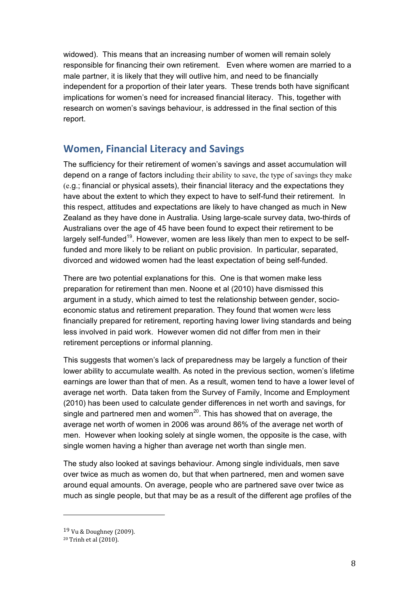widowed). This means that an increasing number of women will remain solely responsible for financing their own retirement. Even where women are married to a male partner, it is likely that they will outlive him, and need to be financially independent for a proportion of their later years. These trends both have significant implications for women's need for increased financial literacy. This, together with research on women's savings behaviour, is addressed in the final section of this report.

## **Women, Financial Literacy and Savings**

The sufficiency for their retirement of women's savings and asset accumulation will depend on a range of factors including their ability to save, the type of savings they make (e.g.; financial or physical assets), their financial literacy and the expectations they have about the extent to which they expect to have to self-fund their retirement. In this respect, attitudes and expectations are likely to have changed as much in New Zealand as they have done in Australia. Using large-scale survey data, two-thirds of Australians over the age of 45 have been found to expect their retirement to be largely self-funded<sup>19</sup>. However, women are less likely than men to expect to be selffunded and more likely to be reliant on public provision. In particular, separated, divorced and widowed women had the least expectation of being self-funded.

There are two potential explanations for this. One is that women make less preparation for retirement than men. Noone et al (2010) have dismissed this argument in a study, which aimed to test the relationship between gender, socioeconomic status and retirement preparation. They found that women were less financially prepared for retirement, reporting having lower living standards and being less involved in paid work. However women did not differ from men in their retirement perceptions or informal planning.

This suggests that women's lack of preparedness may be largely a function of their lower ability to accumulate wealth. As noted in the previous section, women's lifetime earnings are lower than that of men. As a result, women tend to have a lower level of average net worth. Data taken from the Survey of Family, Income and Employment (2010) has been used to calculate gender differences in net worth and savings, for single and partnered men and women<sup>20</sup>. This has showed that on average, the average net worth of women in 2006 was around 86% of the average net worth of men. However when looking solely at single women, the opposite is the case, with single women having a higher than average net worth than single men.

The study also looked at savings behaviour. Among single individuals, men save over twice as much as women do, but that when partnered, men and women save around equal amounts. On average, people who are partnered save over twice as much as single people, but that may be as a result of the different age profiles of the

<sup>19</sup> Vu & Doughney (2009).

<sup>&</sup>lt;sup>20</sup> Trinh et al (2010).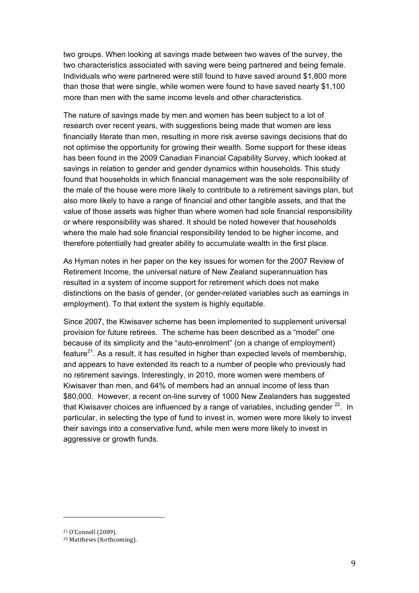two groups. When looking at savings made between two waves of the survey, the two characteristics associated with saving were being partnered and being female. Individuals who were partnered were still found to have saved around \$1,800 more than those that were single, while women were found to have saved nearly \$1,100 more than men with the same income levels and other characteristics.

The nature of savings made by men and women has been subject to a lot of research over recent years, with suggestions being made that women are less financially literate than men, resulting in more risk averse savings decisions that do not optimise the opportunity for growing their wealth. Some support for these ideas has been found in the 2009 Canadian Financial Capability Survey, which looked at savings in relation to gender and gender dynamics within households. This study found that households in which financial management was the sole responsibility of the male of the house were more likely to contribute to a retirement savings plan, but also more likely to have a range of financial and other tangible assets, and that the value of those assets was higher than where women had sole financial responsibility or where responsibility was shared. It should be noted however that households where the male had sole financial responsibility tended to be higher income, and therefore potentially had greater ability to accumulate wealth in the first place.

As Hyman notes in her paper on the key issues for women for the 2007 Review of Retirement Income, the universal nature of New Zealand superannuation has resulted in a system of income support for retirement which does not make distinctions on the basis of gender, (or gender-related variables such as earnings in employment). To that extent the system is highly equitable.

Since 2007, the Kiwisaver scheme has been implemented to supplement universal provision for future retirees. The scheme has been described as a "model" one because of its simplicity and the "auto-enrolment" (on a change of employment) feature $^{21}$ . As a result, it has resulted in higher than expected levels of membership, and appears to have extended its reach to a number of people who previously had no retirement savings. Interestingly, in 2010, more women were members of Kiwisaver than men, and 64% of members had an annual income of less than \$80,000. However, a recent on-line survey of 1000 New Zealanders has suggested that Kiwisaver choices are influenced by a range of variables, including gender  $^{22}$ . In particular, in selecting the type of fund to invest in, women were more likely to invest their savings into a conservative fund, while men were more likely to invest in aggressive or growth funds.

<sup>21</sup> O'Connell (2009).

<sup>&</sup>lt;sup>22</sup> Matthews (forthcoming).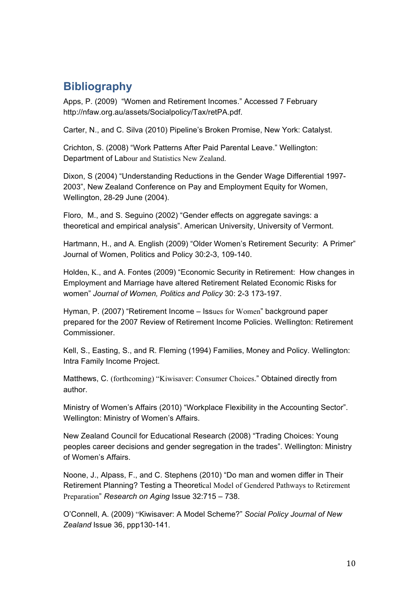## **Bibliography**

Apps, P. (2009) "Women and Retirement Incomes." Accessed 7 February http://nfaw.org.au/assets/Socialpolicy/Tax/retPA.pdf.

Carter, N., and C. Silva (2010) Pipeline's Broken Promise, New York: Catalyst.

Crichton, S. (2008) "Work Patterns After Paid Parental Leave." Wellington: Department of Labour and Statistics New Zealand.

Dixon, S (2004) "Understanding Reductions in the Gender Wage Differential 1997- 2003", New Zealand Conference on Pay and Employment Equity for Women, Wellington, 28-29 June (2004).

Floro, M., and S. Seguino (2002) "Gender effects on aggregate savings: a theoretical and empirical analysis". American University, University of Vermont.

Hartmann, H., and A. English (2009) "Older Women's Retirement Security: A Primer" Journal of Women, Politics and Policy 30:2-3, 109-140.

Holden, K., and A. Fontes (2009) "Economic Security in Retirement: How changes in Employment and Marriage have altered Retirement Related Economic Risks for women" *Journal of Women, Politics and Policy* 30: 2-3 173-197.

Hyman, P. (2007) "Retirement Income – Issues for Women" background paper prepared for the 2007 Review of Retirement Income Policies. Wellington: Retirement **Commissioner** 

Kell, S., Easting, S., and R. Fleming (1994) Families, Money and Policy. Wellington: Intra Family Income Project.

Matthews, C. (forthcoming) "Kiwisaver: Consumer Choices." Obtained directly from author.

Ministry of Women's Affairs (2010) "Workplace Flexibility in the Accounting Sector". Wellington: Ministry of Women's Affairs.

New Zealand Council for Educational Research (2008) "Trading Choices: Young peoples career decisions and gender segregation in the trades". Wellington: Ministry of Women's Affairs.

Noone, J., Alpass, F., and C. Stephens (2010) "Do man and women differ in Their Retirement Planning? Testing a Theoretical Model of Gendered Pathways to Retirement Preparation" *Research on Aging* Issue 32:715 – 738.

O'Connell, A. (2009) "Kiwisaver: A Model Scheme?" *Social Policy Journal of New Zealand* Issue 36, ppp130-141.